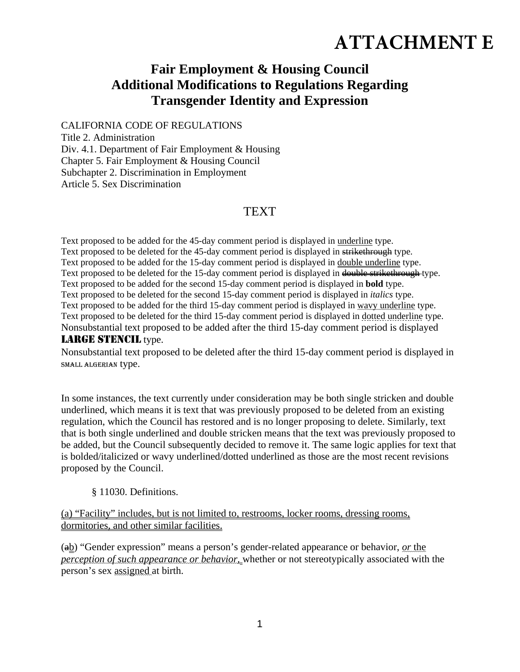## **ATTACHMENT E**

## **Fair Employment & Housing Council Additional Modifications to Regulations Regarding Transgender Identity and Expression**

CALIFORNIA CODE OF REGULATIONS

Title 2. Administration Div. 4.1. Department of Fair Employment & Housing Chapter 5. Fair Employment & Housing Council Subchapter 2. Discrimination in Employment Article 5. Sex Discrimination

## **TEXT**

Text proposed to be added for the 45-day comment period is displayed in underline type. Text proposed to be deleted for the 45-day comment period is displayed in strikethrough type. Text proposed to be added for the 15-day comment period is displayed in double underline type. Text proposed to be deleted for the 15-day comment period is displayed in double strikethrough type. Text proposed to be added for the second 15-day comment period is displayed in **bold** type. Text proposed to be deleted for the second 15-day comment period is displayed in *italics* type. Text proposed to be added for the third 15-day comment period is displayed in wavy underline type. Text proposed to be deleted for the third 15-day comment period is displayed in dotted underline type. Nonsubstantial text proposed to be added after the third 15-day comment period is displayed LARGE STENCIL type.

Nonsubstantial text proposed to be deleted after the third 15-day comment period is displayed in SMALL ALGERIAN type.

In some instances, the text currently under consideration may be both single stricken and double underlined, which means it is text that was previously proposed to be deleted from an existing regulation, which the Council has restored and is no longer proposing to delete. Similarly, text that is both single underlined and double stricken means that the text was previously proposed to be added, but the Council subsequently decided to remove it. The same logic applies for text that is bolded/italicized or wavy underlined/dotted underlined as those are the most recent revisions proposed by the Council.

## § 11030. Definitions.

(a) "Facility" includes, but is not limited to, restrooms, locker rooms, dressing rooms, dormitories, and other similar facilities.

(ab) "Gender expression" means a person's gender-related appearance or behavior, *or* the *perception of such appearance or behavior,* whether or not stereotypically associated with the person's sex assigned at birth.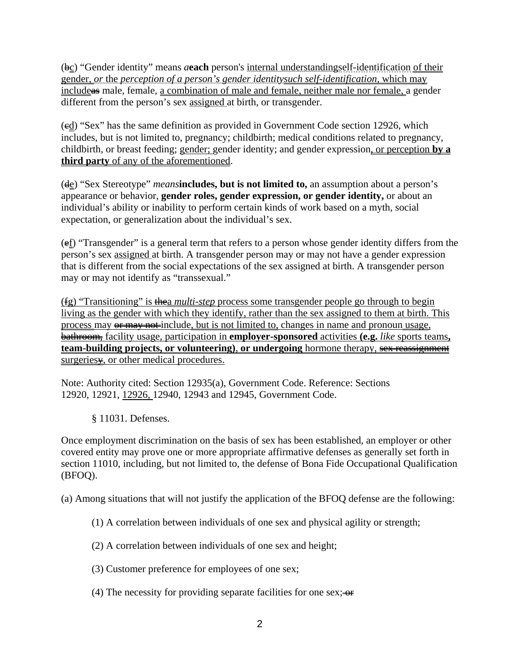(bc) "Gender identity" means *a***each** person's internal understandingself-identification of their gender, *or* the *perception of a person's gender identitysuch self-identification,* which may includeas male, female, a combination of male and female, neither male nor female, a gender different from the person's sex assigned at birth, or transgender.

 $\left(\frac{ed}{ed}\right)$  "Sex" has the same definition as provided in Government Code section 12926, which includes, but is not limited to, pregnancy; childbirth; medical conditions related to pregnancy, childbirth, or breast feeding; gender; gender identity; and gender expression, or perception **by a third party** of any of the aforementioned.

(de) "Sex Stereotype" *means***includes, but is not limited to,** an assumption about a person's appearance or behavior, **gender roles, gender expression, or gender identity,** or about an individual's ability or inability to perform certain kinds of work based on a myth, social expectation, or generalization about the individual's sex.

(ef) "Transgender" is a general term that refers to a person whose gender identity differs from the person's sex assigned at birth. A transgender person may or may not have a gender expression that is different from the social expectations of the sex assigned at birth. A transgender person may or may not identify as "transsexual."

(fg) "Transitioning" is thea *multi-step* process some transgender people go through to begin living as the gender with which they identify, rather than the sex assigned to them at birth. This process may or may not include, but is not limited to, changes in name and pronoun usage, bathroom, facility usage, participation in **employer-sponsored** activities **(e.g.** *like* sports teams**, team-building projects, or volunteering)**, **or undergoing** hormone therapy, sex reassignment surgeries $\frac{1}{2}$ , or other medical procedures.

Note: Authority cited: Section 12935(a), Government Code. Reference: Sections 12920, 12921, 12926, 12940, 12943 and 12945, Government Code.

§ 11031. Defenses.

Once employment discrimination on the basis of sex has been established, an employer or other covered entity may prove one or more appropriate affirmative defenses as generally set forth in section 11010, including, but not limited to, the defense of Bona Fide Occupational Qualification (BFOQ).

(a) Among situations that will not justify the application of the BFOQ defense are the following:

- (1) A correlation between individuals of one sex and physical agility or strength;
- (2) A correlation between individuals of one sex and height;
- (3) Customer preference for employees of one sex;
- (4) The necessity for providing separate facilities for one sex;  $\leftrightarrow$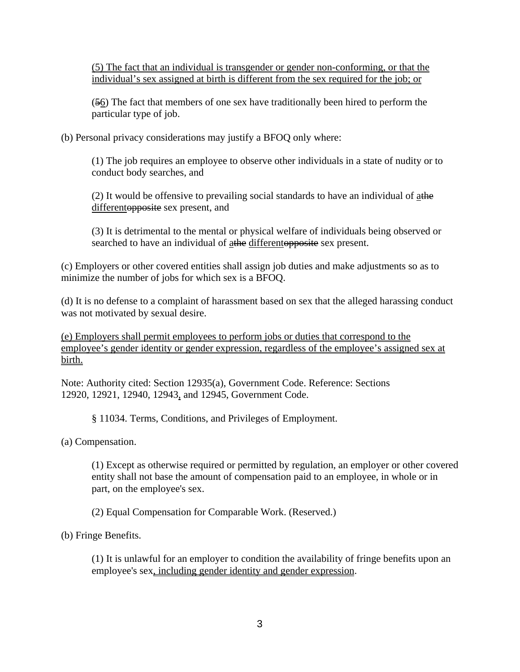(5) The fact that an individual is transgender or gender non-conforming, or that the individual's sex assigned at birth is different from the sex required for the job; or

 $(56)$  The fact that members of one sex have traditionally been hired to perform the particular type of job.

(b) Personal privacy considerations may justify a BFOQ only where:

(1) The job requires an employee to observe other individuals in a state of nudity or to conduct body searches, and

(2) It would be offensive to prevailing social standards to have an individual of athe differentopposite sex present, and

(3) It is detrimental to the mental or physical welfare of individuals being observed or searched to have an individual of athe differentopposite sex present.

(c) Employers or other covered entities shall assign job duties and make adjustments so as to minimize the number of jobs for which sex is a BFOQ.

(d) It is no defense to a complaint of harassment based on sex that the alleged harassing conduct was not motivated by sexual desire.

(e) Employers shall permit employees to perform jobs or duties that correspond to the employee's gender identity or gender expression, regardless of the employee's assigned sex at birth.

Note: Authority cited: Section 12935(a), Government Code. Reference: Sections 12920, 12921, 12940, 12943, and 12945, Government Code.

§ 11034. Terms, Conditions, and Privileges of Employment.

(a) Compensation.

(1) Except as otherwise required or permitted by regulation, an employer or other covered entity shall not base the amount of compensation paid to an employee, in whole or in part, on the employee's sex.

(2) Equal Compensation for Comparable Work. (Reserved.)

(b) Fringe Benefits.

(1) It is unlawful for an employer to condition the availability of fringe benefits upon an employee's sex, including gender identity and gender expression.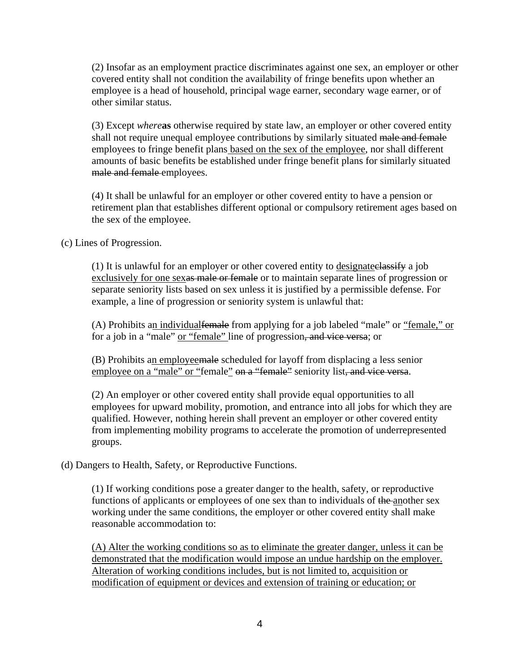(2) Insofar as an employment practice discriminates against one sex, an employer or other covered entity shall not condition the availability of fringe benefits upon whether an employee is a head of household, principal wage earner, secondary wage earner, or of other similar status.

(3) Except *where***as** otherwise required by state law, an employer or other covered entity shall not require unequal employee contributions by similarly situated male and female employees to fringe benefit plans based on the sex of the employee, nor shall different amounts of basic benefits be established under fringe benefit plans for similarly situated male and female employees.

(4) It shall be unlawful for an employer or other covered entity to have a pension or retirement plan that establishes different optional or compulsory retirement ages based on the sex of the employee.

(c) Lines of Progression.

(1) It is unlawful for an employer or other covered entity to designate classify a job exclusively for one sexas male or female or to maintain separate lines of progression or separate seniority lists based on sex unless it is justified by a permissible defense. For example, a line of progression or seniority system is unlawful that:

(A) Prohibits an individual female from applying for a job labeled "male" or "female," or for a job in a "male" <u>or "female"</u> line of progression<del>, and vice versa</del>; or

(B) Prohibits an employeemale scheduled for layoff from displacing a less senior employee on a "male" or "female" on a "female" seniority list, and vice versa.

(2) An employer or other covered entity shall provide equal opportunities to all employees for upward mobility, promotion, and entrance into all jobs for which they are qualified. However, nothing herein shall prevent an employer or other covered entity from implementing mobility programs to accelerate the promotion of underrepresented groups.

(d) Dangers to Health, Safety, or Reproductive Functions.

(1) If working conditions pose a greater danger to the health, safety, or reproductive functions of applicants or employees of one sex than to individuals of the another sex working under the same conditions, the employer or other covered entity shall make reasonable accommodation to:

(A) Alter the working conditions so as to eliminate the greater danger, unless it can be demonstrated that the modification would impose an undue hardship on the employer. Alteration of working conditions includes, but is not limited to, acquisition or modification of equipment or devices and extension of training or education; or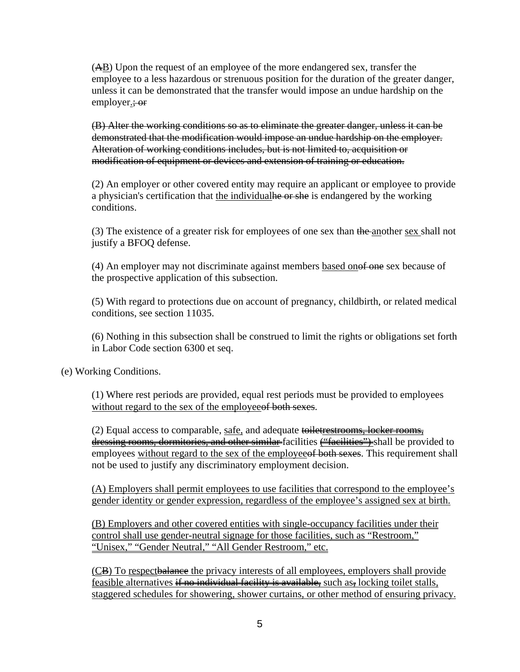(AB) Upon the request of an employee of the more endangered sex, transfer the employee to a less hazardous or strenuous position for the duration of the greater danger, unless it can be demonstrated that the transfer would impose an undue hardship on the employer.; or

(B) Alter the working conditions so as to eliminate the greater danger, unless it can be demonstrated that the modification would impose an undue hardship on the employer. Alteration of working conditions includes, but is not limited to, acquisition or modification of equipment or devices and extension of training or education.

(2) An employer or other covered entity may require an applicant or employee to provide a physician's certification that the individualle or she is endangered by the working conditions.

(3) The existence of a greater risk for employees of one sex than the another sex shall not justify a BFOQ defense.

(4) An employer may not discriminate against members based onof one sex because of the prospective application of this subsection.

(5) With regard to protections due on account of pregnancy, childbirth, or related medical conditions, see section 11035.

(6) Nothing in this subsection shall be construed to limit the rights or obligations set forth in Labor Code section 6300 et seq.

(e) Working Conditions.

(1) Where rest periods are provided, equal rest periods must be provided to employees without regard to the sex of the employee of both sexes.

(2) Equal access to comparable, safe, and adequate toiletrestrooms, locker rooms, dressing rooms, dormitories, and other similar-facilities ("facilities") shall be provided to employees without regard to the sex of the employee of both sexes. This requirement shall not be used to justify any discriminatory employment decision.

(A) Employers shall permit employees to use facilities that correspond to the employee's gender identity or gender expression, regardless of the employee's assigned sex at birth.

(B) Employers and other covered entities with single-occupancy facilities under their control shall use gender-neutral signage for those facilities, such as "Restroom," "Unisex," "Gender Neutral," "All Gender Restroom," etc.

(CB) To respectbalance the privacy interests of all employees, employers shall provide feasible alternatives if no individual facility is available, such as, locking toilet stalls, staggered schedules for showering, shower curtains, or other method of ensuring privacy.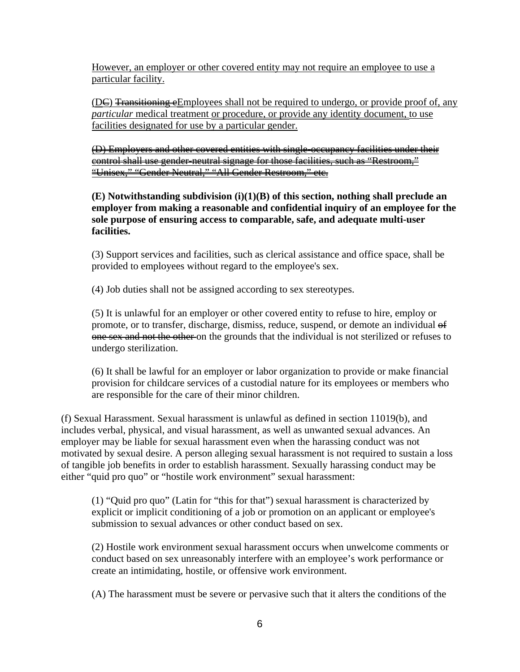However, an employer or other covered entity may not require an employee to use a particular facility.

(DE) Transitioning eEmployees shall not be required to undergo, or provide proof of, any *particular* medical treatment <u>or procedure</u>, or provide any identity document, to use facilities designated for use by a particular gender.

(D) Employers and other covered entities with single-occupancy facilities under their control shall use gender-neutral signage for those facilities, such as "Restroom," "Unisex," "Gender Neutral," "All Gender Restroom," etc.

**(E) Notwithstanding subdivision (i)(1)(B) of this section, nothing shall preclude an employer from making a reasonable and confidential inquiry of an employee for the sole purpose of ensuring access to comparable, safe, and adequate multi-user facilities.** 

(3) Support services and facilities, such as clerical assistance and office space, shall be provided to employees without regard to the employee's sex.

(4) Job duties shall not be assigned according to sex stereotypes.

(5) It is unlawful for an employer or other covered entity to refuse to hire, employ or promote, or to transfer, discharge, dismiss, reduce, suspend, or demote an individual of one sex and not the other on the grounds that the individual is not sterilized or refuses to undergo sterilization.

(6) It shall be lawful for an employer or labor organization to provide or make financial provision for childcare services of a custodial nature for its employees or members who are responsible for the care of their minor children.

(f) Sexual Harassment. Sexual harassment is unlawful as defined in section 11019(b), and includes verbal, physical, and visual harassment, as well as unwanted sexual advances. An employer may be liable for sexual harassment even when the harassing conduct was not motivated by sexual desire. A person alleging sexual harassment is not required to sustain a loss of tangible job benefits in order to establish harassment. Sexually harassing conduct may be either "quid pro quo" or "hostile work environment" sexual harassment:

(1) "Quid pro quo" (Latin for "this for that") sexual harassment is characterized by explicit or implicit conditioning of a job or promotion on an applicant or employee's submission to sexual advances or other conduct based on sex.

(2) Hostile work environment sexual harassment occurs when unwelcome comments or conduct based on sex unreasonably interfere with an employee's work performance or create an intimidating, hostile, or offensive work environment.

(A) The harassment must be severe or pervasive such that it alters the conditions of the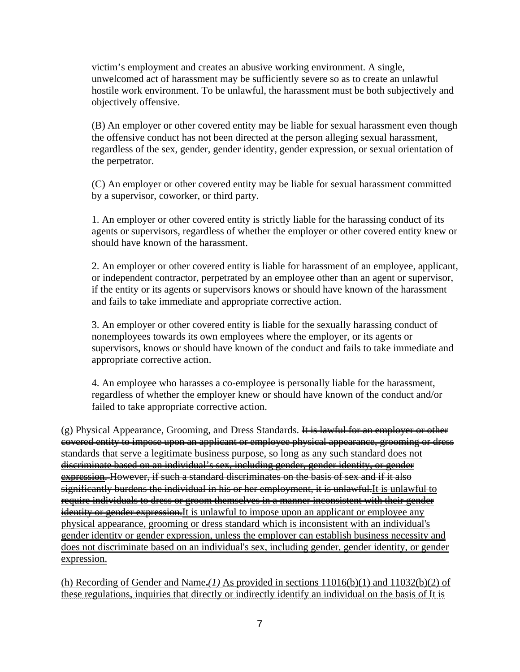victim's employment and creates an abusive working environment. A single, unwelcomed act of harassment may be sufficiently severe so as to create an unlawful hostile work environment. To be unlawful, the harassment must be both subjectively and objectively offensive.

(B) An employer or other covered entity may be liable for sexual harassment even though the offensive conduct has not been directed at the person alleging sexual harassment, regardless of the sex, gender, gender identity, gender expression, or sexual orientation of the perpetrator.

(C) An employer or other covered entity may be liable for sexual harassment committed by a supervisor, coworker, or third party.

1. An employer or other covered entity is strictly liable for the harassing conduct of its agents or supervisors, regardless of whether the employer or other covered entity knew or should have known of the harassment.

2. An employer or other covered entity is liable for harassment of an employee, applicant, or independent contractor, perpetrated by an employee other than an agent or supervisor, if the entity or its agents or supervisors knows or should have known of the harassment and fails to take immediate and appropriate corrective action.

3. An employer or other covered entity is liable for the sexually harassing conduct of nonemployees towards its own employees where the employer, or its agents or supervisors, knows or should have known of the conduct and fails to take immediate and appropriate corrective action.

4. An employee who harasses a co-employee is personally liable for the harassment, regardless of whether the employer knew or should have known of the conduct and/or failed to take appropriate corrective action.

(g) Physical Appearance, Grooming, and Dress Standards. It is lawful for an employer or other covered entity to impose upon an applicant or employee physical appearance, grooming or dress standards that serve a legitimate business purpose, so long as any such standard does not discriminate based on an individual's sex, including gender, gender identity, or gender expression. However, if such a standard discriminates on the basis of sex and if it also significantly burdens the individual in his or her employment, it is unlawful. It is unlawful to require individuals to dress or groom themselves in a manner inconsistent with their gender identity or gender expression. It is unlawful to impose upon an applicant or employee any physical appearance, grooming or dress standard which is inconsistent with an individual's gender identity or gender expression, unless the employer can establish business necessity and does not discriminate based on an individual's sex, including gender, gender identity, or gender expression.

(h) Recording of Gender and Name**.***(1)* As provided in sections 11016(b)(1) and 11032(b)(2) of these regulations, inquiries that directly or indirectly identify an individual on the basis of It is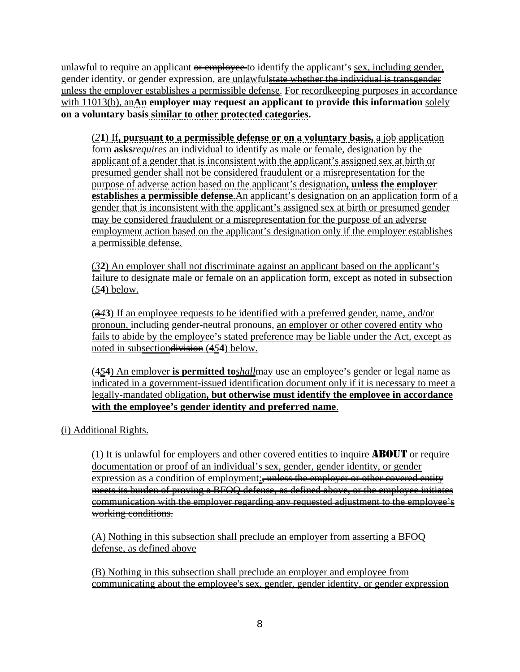unlawful to require an applicant  $\theta$  employee to identify the applicant's sex, including gender, gender identity, or gender expression, are unlawfulstate whether the individual is transgender unless the employer establishes a permissible defense. For recordkeeping purposes in accordance with 11013(b), an**An employer may request an applicant to provide this information** solely **on a voluntary basis similar to other protected categories.**

(*2***1**) If**, pursuant to a permissible defense or on a voluntary basis,** a job application form **asks***requires* an individual to identify as male or female, designation by the applicant of a gender that is inconsistent with the applicant's assigned sex at birth or presumed gender shall not be considered fraudulent or a misrepresentation for the purpose of adverse action based on the applicant's designation**, unless the employer establishes a permissible defense**.An applicant's designation on an application form of a gender that is inconsistent with the applicant's assigned sex at birth or presumed gender may be considered fraudulent or a misrepresentation for the purpose of an adverse employment action based on the applicant's designation only if the employer establishes a permissible defense.

(*3***2**) An employer shall not discriminate against an applicant based on the applicant's failure to designate male or female on an application form, except as noted in subsection (*5***4**) below.

(3*4***3**) If an employee requests to be identified with a preferred gender, name, and/or pronoun, including gender-neutral pronouns, an employer or other covered entity who fails to abide by the employee's stated preference may be liable under the Act, except as noted in subsectiondivision (4*5***4**) below.

(4*5***4**) An employer **is permitted to***shall*may use an employee's gender or legal name as indicated in a government-issued identification document only if it is necessary to meet a legally-mandated obligation**, but otherwise must identify the employee in accordance with the employee's gender identity and preferred name**.

(i) Additional Rights.

(1) It is unlawful for employers and other covered entities to inquire ABOUT or require documentation or proof of an individual's sex, gender, gender identity, or gender expression as a condition of employment: unless the employer or other covered entity meets its burden of proving a BFOQ defense, as defined above, or the employee initiates communication with the employer regarding any requested adjustment to the employee's working conditions.

(A) Nothing in this subsection shall preclude an employer from asserting a BFOQ defense, as defined above

(B) Nothing in this subsection shall preclude an employer and employee from communicating about the employee's sex, gender, gender identity, or gender expression